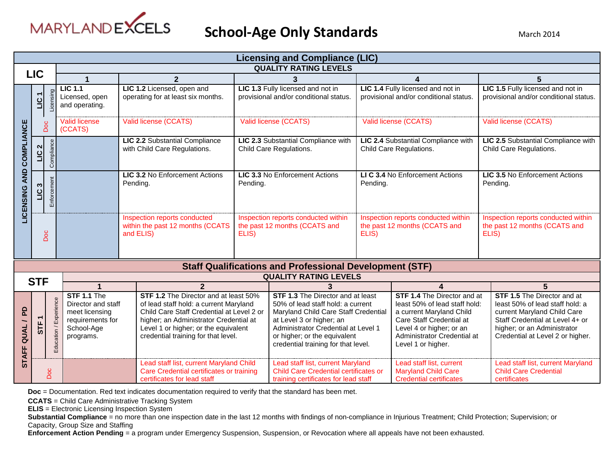

|                                  | <b>Licensing and Compliance (LIC)</b> |                         |                                                                                                                                                                                                                                                                                                                                                             |                                            |                                                                                                                    |                                                                                                                                                                                                                                                                 |                                                                                                                           |                                                                                                                                                                                                              |                                                                                                                                                                                                     |                                                                                   |
|----------------------------------|---------------------------------------|-------------------------|-------------------------------------------------------------------------------------------------------------------------------------------------------------------------------------------------------------------------------------------------------------------------------------------------------------------------------------------------------------|--------------------------------------------|--------------------------------------------------------------------------------------------------------------------|-----------------------------------------------------------------------------------------------------------------------------------------------------------------------------------------------------------------------------------------------------------------|---------------------------------------------------------------------------------------------------------------------------|--------------------------------------------------------------------------------------------------------------------------------------------------------------------------------------------------------------|-----------------------------------------------------------------------------------------------------------------------------------------------------------------------------------------------------|-----------------------------------------------------------------------------------|
| <b>LIC</b>                       |                                       |                         |                                                                                                                                                                                                                                                                                                                                                             |                                            |                                                                                                                    |                                                                                                                                                                                                                                                                 | <b>QUALITY RATING LEVELS</b>                                                                                              |                                                                                                                                                                                                              |                                                                                                                                                                                                     |                                                                                   |
|                                  |                                       |                         | $\overline{2}$                                                                                                                                                                                                                                                                                                                                              |                                            |                                                                                                                    |                                                                                                                                                                                                                                                                 | 3                                                                                                                         |                                                                                                                                                                                                              | 4                                                                                                                                                                                                   | 5                                                                                 |
|                                  | Licensing<br>ПC                       |                         | $LIC$ 1.1<br>Licensed, open<br>and operating.                                                                                                                                                                                                                                                                                                               |                                            | LIC 1.2 Licensed, open and<br>operating for at least six months.                                                   |                                                                                                                                                                                                                                                                 | LIC 1.3 Fully licensed and not in<br>provisional and/or conditional status.                                               |                                                                                                                                                                                                              | LIC 1.4 Fully licensed and not in<br>provisional and/or conditional status.                                                                                                                         | LIC 1.5 Fully licensed and not in<br>provisional and/or conditional status.       |
|                                  |                                       | Doc                     | <b>Valid license</b><br>(CCATS)                                                                                                                                                                                                                                                                                                                             |                                            | Valid license (CCATS)                                                                                              |                                                                                                                                                                                                                                                                 | Valid license (CCATS)                                                                                                     |                                                                                                                                                                                                              | Valid license (CCATS)                                                                                                                                                                               | Valid license (CCATS)                                                             |
| COMPLIANCE                       | $\sim$<br>$\frac{1}{2}$               | Compliance              |                                                                                                                                                                                                                                                                                                                                                             |                                            | LIC 2.2 Substantial Compliance<br>with Child Care Regulations.                                                     |                                                                                                                                                                                                                                                                 | LIC 2.3 Substantial Compliance with<br>Child Care Regulations.                                                            |                                                                                                                                                                                                              | LIC 2.4 Substantial Compliance with<br>Child Care Regulations.                                                                                                                                      | LIC 2.5 Substantial Compliance with<br>Child Care Regulations.                    |
| <b>AND</b><br><b>LICENSING</b>   | Enforcement<br><b>m</b><br>uu         |                         |                                                                                                                                                                                                                                                                                                                                                             | LIC 3.2 No Enforcement Actions<br>Pending. |                                                                                                                    | Pending.                                                                                                                                                                                                                                                        | LIC 3.3 No Enforcement Actions                                                                                            | Pending.                                                                                                                                                                                                     | LI C 3.4 No Enforcement Actions                                                                                                                                                                     | LIC 3.5 No Enforcement Actions<br>Pending.                                        |
|                                  |                                       | Doc                     |                                                                                                                                                                                                                                                                                                                                                             |                                            | Inspection reports conducted<br>within the past 12 months (CCATS<br>and ELIS)                                      | ELIS)                                                                                                                                                                                                                                                           | Inspection reports conducted within<br>the past 12 months (CCATS and                                                      | ELIS)                                                                                                                                                                                                        | Inspection reports conducted within<br>the past 12 months (CCATS and                                                                                                                                | Inspection reports conducted within<br>the past 12 months (CCATS and<br>ELIS)     |
|                                  |                                       |                         | <b>Staff Qualifications and Professional Development (STF)</b>                                                                                                                                                                                                                                                                                              |                                            |                                                                                                                    |                                                                                                                                                                                                                                                                 |                                                                                                                           |                                                                                                                                                                                                              |                                                                                                                                                                                                     |                                                                                   |
|                                  | <b>STF</b>                            |                         |                                                                                                                                                                                                                                                                                                                                                             |                                            |                                                                                                                    |                                                                                                                                                                                                                                                                 | <b>QUALITY RATING LEVELS</b>                                                                                              |                                                                                                                                                                                                              |                                                                                                                                                                                                     |                                                                                   |
|                                  |                                       |                         |                                                                                                                                                                                                                                                                                                                                                             |                                            | $\overline{2}$                                                                                                     |                                                                                                                                                                                                                                                                 |                                                                                                                           |                                                                                                                                                                                                              | $\boldsymbol{\Lambda}$                                                                                                                                                                              | 5                                                                                 |
| 요<br><b>QUAL</b><br><b>STAFF</b> | <b>STF</b>                            | Experience<br>Education | STF 1.2 The Director and at least 50%<br>STF 1.1 The<br>of lead staff hold: a current Maryland<br>Director and staff<br>Child Care Staff Credential at Level 2 or<br>meet licensing<br>higher; an Administrator Credential at<br>requirements for<br>Level 1 or higher; or the equivalent<br>School-Age<br>credential training for that level.<br>programs. |                                            |                                                                                                                    | <b>STF 1.3</b> The Director and at least<br>50% of lead staff hold: a current<br>Maryland Child Care Staff Credential<br>at Level 3 or higher; an<br>Administrator Credential at Level 1<br>or higher; or the equivalent<br>credential training for that level. |                                                                                                                           | <b>STF 1.4</b> The Director and at<br>least 50% of lead staff hold:<br>a current Maryland Child<br>Care Staff Credential at<br>Level 4 or higher; or an<br>Administrator Credential at<br>Level 1 or higher. | STF 1.5 The Director and at<br>least 50% of lead staff hold: a<br>current Maryland Child Care<br>Staff Credential at Level 4+ or<br>higher; or an Administrator<br>Credential at Level 2 or higher. |                                                                                   |
|                                  |                                       | Doc                     |                                                                                                                                                                                                                                                                                                                                                             |                                            | Lead staff list, current Maryland Child<br>Care Credential certificates or training<br>certificates for lead staff |                                                                                                                                                                                                                                                                 | Lead staff list, current Maryland<br><b>Child Care Credential certificates or</b><br>training certificates for lead staff |                                                                                                                                                                                                              | Lead staff list, current<br><b>Maryland Child Care</b><br><b>Credential certificates</b>                                                                                                            | Lead staff list, current Maryland<br><b>Child Care Credential</b><br>certificates |

**Doc** = Documentation. Red text indicates documentation required to verify that the standard has been met.

**CCATS** = Child Care Administrative Tracking System

**ELIS** = Electronic Licensing Inspection System

Substantial Compliance = no more than one inspection date in the last 12 months with findings of non-compliance in Injurious Treatment; Child Protection; Supervision; or Capacity, Group Size and Staffing

**Enforcement Action Pending** = a program under Emergency Suspension, Suspension, or Revocation where all appeals have not been exhausted.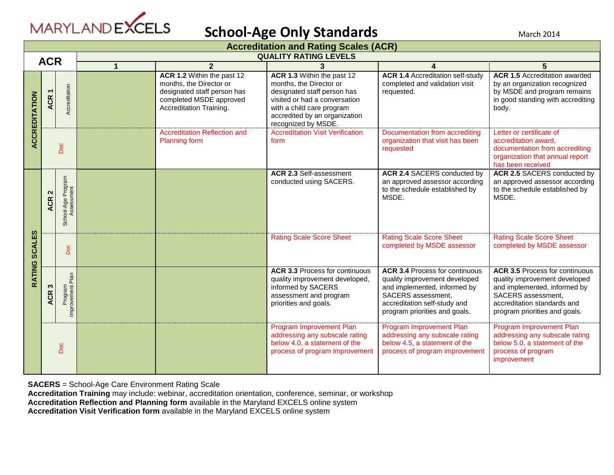

|                                            | <b>Accreditation and Rating Scales (ACR)</b> |                                  |   |                                                                                                                                            |                                                                                                                                                                                                            |                                                                                                                                                                                               |                                                                                                                                                                                              |  |  |
|--------------------------------------------|----------------------------------------------|----------------------------------|---|--------------------------------------------------------------------------------------------------------------------------------------------|------------------------------------------------------------------------------------------------------------------------------------------------------------------------------------------------------------|-----------------------------------------------------------------------------------------------------------------------------------------------------------------------------------------------|----------------------------------------------------------------------------------------------------------------------------------------------------------------------------------------------|--|--|
| <b>QUALITY RATING LEVELS</b><br><b>ACR</b> |                                              |                                  |   |                                                                                                                                            |                                                                                                                                                                                                            |                                                                                                                                                                                               |                                                                                                                                                                                              |  |  |
|                                            |                                              |                                  | 1 | $\mathbf{2}$                                                                                                                               |                                                                                                                                                                                                            |                                                                                                                                                                                               | 5                                                                                                                                                                                            |  |  |
| ACCREDITATION                              | ACR <sub>1</sub>                             | Accreditation                    |   | ACR 1.2 Within the past 12<br>months, the Director or<br>designated staff person has<br>completed MSDE approved<br>Accreditation Training. | ACR 1.3 Within the past 12<br>months, the Director or<br>designated staff person has<br>visited or had a conversation<br>with a child care program<br>accredited by an organization<br>recognized by MSDE. | <b>ACR 1.4 Accreditation self-study</b><br>completed and validation visit<br>requested.                                                                                                       | <b>ACR 1.5 Accreditation awarded</b><br>by an organization recognized<br>by MSDE and program remains<br>in good standing with accrediting<br>body.                                           |  |  |
|                                            | <b>Doc</b>                                   |                                  |   | <b>Accreditation Reflection and</b><br><b>Planning form</b>                                                                                | <b>Accreditation Visit Verification</b><br>form                                                                                                                                                            | Documentation from accrediting<br>organization that visit has been<br>requested                                                                                                               | Letter or certificate of<br>accreditation award.<br>documentation from accrediting<br>organization that annual report<br>has been received                                                   |  |  |
|                                            | $\mathbf{\Omega}$<br><b>ACR</b>              | School-Age Program<br>Assessment |   |                                                                                                                                            | <b>ACR 2.3 Self-assessment</b><br>conducted using SACERS.                                                                                                                                                  | ACR 2.4 SACERS conducted by<br>an approved assessor according<br>to the schedule established by<br>MSDE.                                                                                      | ACR 2.5 SACERS conducted by<br>an approved assessor according<br>to the schedule established by<br>MSDE.                                                                                     |  |  |
| RATING SCALES                              |                                              | Doc                              |   |                                                                                                                                            | <b>Rating Scale Score Sheet</b>                                                                                                                                                                            | <b>Rating Scale Score Sheet</b><br>completed by MSDE assessor                                                                                                                                 | <b>Rating Scale Score Sheet</b><br>completed by MSDE assessor                                                                                                                                |  |  |
|                                            | n<br><b>ACR</b>                              | Plan<br>Program<br>Improvement F |   |                                                                                                                                            | <b>ACR 3.3 Process for continuous</b><br>quality improvement developed,<br>informed by SACERS<br>assessment and program<br>priorities and goals.                                                           | <b>ACR 3.4 Process for continuous</b><br>quality improvement developed<br>and implemented, informed by<br>SACERS assessment,<br>accreditation self-study and<br>program priorities and goals. | <b>ACR 3.5 Process for continuous</b><br>quality improvement developed<br>and implemented, informed by<br>SACERS assessment,<br>accreditation standards and<br>program priorities and goals. |  |  |
|                                            |                                              | Doc                              |   |                                                                                                                                            | Program Improvement Plan<br>addressing any subscale rating<br>below 4.0, a statement of the<br>process of program improvement                                                                              | Program Improvement Plan<br>addressing any subscale rating<br>below 4.5, a statement of the<br>process of program improvement                                                                 | Program Improvement Plan<br>addressing any subscale rating<br>below 5.0, a statement of the<br>process of program<br>improvement                                                             |  |  |

**SACERS** = School-Age Care Environment Rating Scale

**Accreditation Training** may include: webinar, accreditation orientation, conference, seminar, or workshop

**Accreditation Reflection and Planning form** available in the Maryland EXCELS online system

**Accreditation Visit Verification form** available in the Maryland EXCELS online system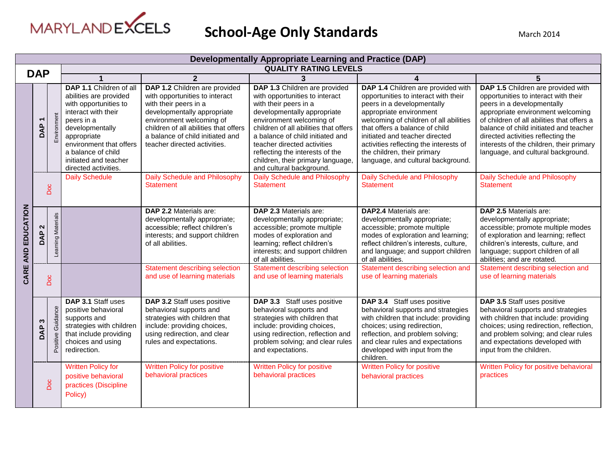

| <b>Developmentally Appropriate Learning and Practice (DAP)</b> |                      |                      |                                                                                                                                                                                                                                                     |                                                                                                                                                                                                                                                                  |                                                                                                                                                                                                                                                                                                                                                                     |                                                                                                                                                                                                                                                                                                                                                                  |                                                                                                                                                                                                                                                                                                                                                               |  |
|----------------------------------------------------------------|----------------------|----------------------|-----------------------------------------------------------------------------------------------------------------------------------------------------------------------------------------------------------------------------------------------------|------------------------------------------------------------------------------------------------------------------------------------------------------------------------------------------------------------------------------------------------------------------|---------------------------------------------------------------------------------------------------------------------------------------------------------------------------------------------------------------------------------------------------------------------------------------------------------------------------------------------------------------------|------------------------------------------------------------------------------------------------------------------------------------------------------------------------------------------------------------------------------------------------------------------------------------------------------------------------------------------------------------------|---------------------------------------------------------------------------------------------------------------------------------------------------------------------------------------------------------------------------------------------------------------------------------------------------------------------------------------------------------------|--|
| <b>DAP</b>                                                     |                      |                      |                                                                                                                                                                                                                                                     |                                                                                                                                                                                                                                                                  | <b>QUALITY RATING LEVELS</b>                                                                                                                                                                                                                                                                                                                                        |                                                                                                                                                                                                                                                                                                                                                                  |                                                                                                                                                                                                                                                                                                                                                               |  |
|                                                                |                      |                      | $\mathbf{2}$                                                                                                                                                                                                                                        |                                                                                                                                                                                                                                                                  | 3                                                                                                                                                                                                                                                                                                                                                                   | 4                                                                                                                                                                                                                                                                                                                                                                | 5                                                                                                                                                                                                                                                                                                                                                             |  |
|                                                                | Νđ                   | Environment          | DAP 1.1 Children of all<br>abilities are provided<br>with opportunities to<br>interact with their<br>peers in a<br>developmentally<br>appropriate<br>environment that offers<br>a balance of child<br>initiated and teacher<br>directed activities. | DAP 1.2 Children are provided<br>with opportunities to interact<br>with their peers in a<br>developmentally appropriate<br>environment welcoming of<br>children of all abilities that offers<br>a balance of child initiated and<br>teacher directed activities. | DAP 1.3 Children are provided<br>with opportunities to interact<br>with their peers in a<br>developmentally appropriate<br>environment welcoming of<br>children of all abilities that offers<br>a balance of child initiated and<br>teacher directed activities<br>reflecting the interests of the<br>children, their primary language,<br>and cultural background. | DAP 1.4 Children are provided with<br>opportunities to interact with their<br>peers in a developmentally<br>appropriate environment<br>welcoming of children of all abilities<br>that offers a balance of child<br>initiated and teacher directed<br>activities reflecting the interests of<br>the children, their primary<br>language, and cultural background. | DAP 1.5 Children are provided with<br>opportunities to interact with their<br>peers in a developmentally<br>appropriate environment welcoming<br>of children of all abilities that offers a<br>balance of child initiated and teacher<br>directed activities reflecting the<br>interests of the children, their primary<br>language, and cultural background. |  |
|                                                                |                      | <b>Doc</b>           | <b>Daily Schedule</b>                                                                                                                                                                                                                               | <b>Daily Schedule and Philosophy</b><br>Statement                                                                                                                                                                                                                | Daily Schedule and Philosophy<br><b>Statement</b>                                                                                                                                                                                                                                                                                                                   | Daily Schedule and Philosophy<br><b>Statement</b>                                                                                                                                                                                                                                                                                                                | Daily Schedule and Philosophy<br><b>Statement</b>                                                                                                                                                                                                                                                                                                             |  |
| CARE AND EDUCATION                                             | $\sim$<br><b>DAP</b> | Learning Materials   |                                                                                                                                                                                                                                                     | DAP 2.2 Materials are:<br>developmentally appropriate;<br>accessible; reflect children's<br>interests; and support children<br>of all abilities.                                                                                                                 | DAP 2.3 Materials are:<br>developmentally appropriate;<br>accessible; promote multiple<br>modes of exploration and<br>learning; reflect children's<br>interests; and support children<br>of all abilities.                                                                                                                                                          | <b>DAP2.4 Materials are:</b><br>developmentally appropriate;<br>accessible; promote multiple<br>modes of exploration and learning;<br>reflect children's interests, culture,<br>and language; and support children<br>of all abilities.                                                                                                                          | DAP 2.5 Materials are:<br>developmentally appropriate;<br>accessible; promote multiple modes<br>of exploration and learning; reflect<br>children's interests, culture, and<br>language; support children of all<br>abilities; and are rotated.                                                                                                                |  |
|                                                                |                      | Doc                  |                                                                                                                                                                                                                                                     | Statement describing selection<br>and use of learning materials                                                                                                                                                                                                  | <b>Statement describing selection</b><br>and use of learning materials                                                                                                                                                                                                                                                                                              | Statement describing selection and<br>use of learning materials                                                                                                                                                                                                                                                                                                  | Statement describing selection and<br>use of learning materials                                                                                                                                                                                                                                                                                               |  |
|                                                                | ఌ<br>$\Omega$<br>ă   | Guidance<br>Positive | DAP 3.1 Staff uses<br>positive behavioral<br>supports and<br>strategies with children<br>that include providing<br>choices and using<br>redirection.                                                                                                | DAP 3.2 Staff uses positive<br>behavioral supports and<br>strategies with children that<br>include: providing choices,<br>using redirection, and clear<br>rules and expectations.                                                                                | DAP 3.3 Staff uses positive<br>behavioral supports and<br>strategies with children that<br>include: providing choices,<br>using redirection, reflection and<br>problem solving; and clear rules<br>and expectations.                                                                                                                                                | DAP 3.4 Staff uses positive<br>behavioral supports and strategies<br>with children that include: providing<br>choices; using redirection,<br>reflection, and problem solving;<br>and clear rules and expectations<br>developed with input from the<br>children.                                                                                                  | DAP 3.5 Staff uses positive<br>behavioral supports and strategies<br>with children that include: providing<br>choices; using redirection, reflection,<br>and problem solving; and clear rules<br>and expectations developed with<br>input from the children.                                                                                                  |  |
|                                                                |                      | Doc                  | <b>Written Policy for</b><br>positive behavioral<br>practices (Discipline<br>Policy)                                                                                                                                                                | <b>Written Policy for positive</b><br>behavioral practices                                                                                                                                                                                                       | <b>Written Policy for positive</b><br>behavioral practices                                                                                                                                                                                                                                                                                                          | <b>Written Policy for positive</b><br>behavioral practices                                                                                                                                                                                                                                                                                                       | Written Policy for positive behavioral<br>practices                                                                                                                                                                                                                                                                                                           |  |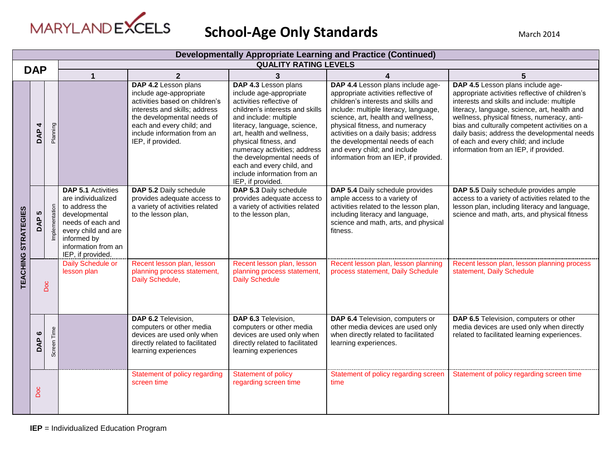

|                            | <b>Developmentally Appropriate Learning and Practice (Continued)</b> |                       |                                                                                                                                                                                           |                                                                                                                                                                                                                                   |                                                                                                                                                                                                                                                                                                                                                                              |                                                                                                                                                                                                                                                                                                                                                                                       |                                                                                                                                                                                                                                                                                                                                                                                                                     |  |  |
|----------------------------|----------------------------------------------------------------------|-----------------------|-------------------------------------------------------------------------------------------------------------------------------------------------------------------------------------------|-----------------------------------------------------------------------------------------------------------------------------------------------------------------------------------------------------------------------------------|------------------------------------------------------------------------------------------------------------------------------------------------------------------------------------------------------------------------------------------------------------------------------------------------------------------------------------------------------------------------------|---------------------------------------------------------------------------------------------------------------------------------------------------------------------------------------------------------------------------------------------------------------------------------------------------------------------------------------------------------------------------------------|---------------------------------------------------------------------------------------------------------------------------------------------------------------------------------------------------------------------------------------------------------------------------------------------------------------------------------------------------------------------------------------------------------------------|--|--|
|                            | <b>DAP</b>                                                           |                       |                                                                                                                                                                                           |                                                                                                                                                                                                                                   | <b>QUALITY RATING LEVELS</b>                                                                                                                                                                                                                                                                                                                                                 |                                                                                                                                                                                                                                                                                                                                                                                       |                                                                                                                                                                                                                                                                                                                                                                                                                     |  |  |
|                            |                                                                      |                       | $\blacktriangleleft$                                                                                                                                                                      | $\overline{2}$                                                                                                                                                                                                                    | 3                                                                                                                                                                                                                                                                                                                                                                            | 4                                                                                                                                                                                                                                                                                                                                                                                     | 5                                                                                                                                                                                                                                                                                                                                                                                                                   |  |  |
|                            | 4<br><b>AP</b>                                                       | Planning              |                                                                                                                                                                                           | DAP 4.2 Lesson plans<br>include age-appropriate<br>activities based on children's<br>interests and skills; address<br>the developmental needs of<br>each and every child; and<br>include information from an<br>IEP, if provided. | DAP 4.3 Lesson plans<br>include age-appropriate<br>activities reflective of<br>children's interests and skills<br>and include: multiple<br>literacy, language, science,<br>art, health and wellness,<br>physical fitness, and<br>numeracy activities; address<br>the developmental needs of<br>each and every child, and<br>include information from an<br>IEP, if provided. | DAP 4.4 Lesson plans include age-<br>appropriate activities reflective of<br>children's interests and skills and<br>include: multiple literacy, language,<br>science, art, health and wellness,<br>physical fitness, and numeracy<br>activities on a daily basis; address<br>the developmental needs of each<br>and every child; and include<br>information from an IEP, if provided. | DAP 4.5 Lesson plans include age-<br>appropriate activities reflective of children's<br>interests and skills and include: multiple<br>literacy, language, science, art, health and<br>wellness, physical fitness, numeracy, anti-<br>bias and culturally competent activities on a<br>daily basis; address the developmental needs<br>of each and every child; and include<br>information from an IEP, if provided. |  |  |
| <b>TEACHING STRATEGIES</b> | <b>LC</b><br>DAP                                                     | entation<br>nemi<br>L | <b>DAP 5.1 Activities</b><br>are individualized<br>to address the<br>developmental<br>needs of each and<br>every child and are<br>informed by<br>information from an<br>IEP, if provided. | DAP 5.2 Daily schedule<br>provides adequate access to<br>a variety of activities related<br>to the lesson plan,                                                                                                                   | DAP 5.3 Daily schedule<br>provides adequate access to<br>a variety of activities related<br>to the lesson plan,                                                                                                                                                                                                                                                              | DAP 5.4 Daily schedule provides<br>ample access to a variety of<br>activities related to the lesson plan,<br>including literacy and language,<br>science and math, arts, and physical<br>fitness.                                                                                                                                                                                     | DAP 5.5 Daily schedule provides ample<br>access to a variety of activities related to the<br>lesson plan, including literacy and language,<br>science and math, arts, and physical fitness                                                                                                                                                                                                                          |  |  |
|                            | Doc                                                                  |                       | Daily Schedule or<br>lesson plan                                                                                                                                                          | Recent lesson plan, lesson<br>planning process statement,<br>Daily Schedule,                                                                                                                                                      | Recent lesson plan, lesson<br>planning process statement,<br><b>Daily Schedule</b>                                                                                                                                                                                                                                                                                           | Recent lesson plan, lesson planning<br>process statement, Daily Schedule                                                                                                                                                                                                                                                                                                              | Recent lesson plan, lesson planning process<br>statement, Daily Schedule                                                                                                                                                                                                                                                                                                                                            |  |  |
|                            | $\bullet$<br>DAP                                                     | Screen Time           |                                                                                                                                                                                           | DAP 6.2 Television,<br>computers or other media<br>devices are used only when<br>directly related to facilitated<br>learning experiences                                                                                          | DAP 6.3 Television,<br>computers or other media<br>devices are used only when<br>directly related to facilitated<br>learning experiences                                                                                                                                                                                                                                     | DAP 6.4 Television, computers or<br>other media devices are used only<br>when directly related to facilitated<br>learning experiences.                                                                                                                                                                                                                                                | DAP 6.5 Television, computers or other<br>media devices are used only when directly<br>related to facilitated learning experiences.                                                                                                                                                                                                                                                                                 |  |  |
|                            | Doc                                                                  |                       |                                                                                                                                                                                           | Statement of policy regarding<br>screen time                                                                                                                                                                                      | <b>Statement of policy</b><br>regarding screen time                                                                                                                                                                                                                                                                                                                          | Statement of policy regarding screen<br>time                                                                                                                                                                                                                                                                                                                                          | Statement of policy regarding screen time                                                                                                                                                                                                                                                                                                                                                                           |  |  |

**IEP** = Individualized Education Program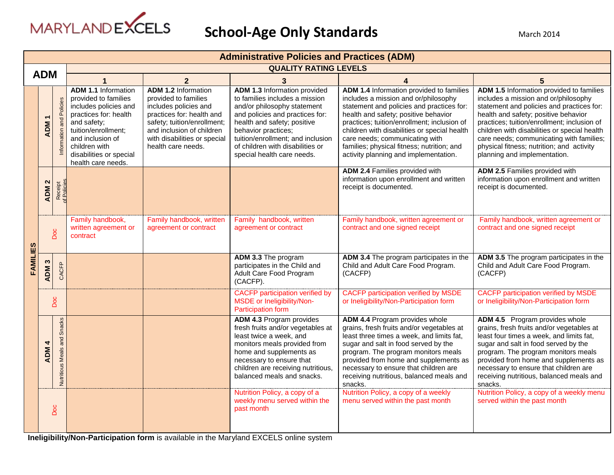

|          | <b>Administrative Policies and Practices (ADM)</b> |                                          |                                                                                                                                                                                                                                  |                                                                                                                                                                                                                            |                                                                                                                                                                                                                                                                                               |                                                                                                                                                                                                                                                                                                                                                                                               |                                                                                                                                                                                                                                                                                                                                                                                               |  |
|----------|----------------------------------------------------|------------------------------------------|----------------------------------------------------------------------------------------------------------------------------------------------------------------------------------------------------------------------------------|----------------------------------------------------------------------------------------------------------------------------------------------------------------------------------------------------------------------------|-----------------------------------------------------------------------------------------------------------------------------------------------------------------------------------------------------------------------------------------------------------------------------------------------|-----------------------------------------------------------------------------------------------------------------------------------------------------------------------------------------------------------------------------------------------------------------------------------------------------------------------------------------------------------------------------------------------|-----------------------------------------------------------------------------------------------------------------------------------------------------------------------------------------------------------------------------------------------------------------------------------------------------------------------------------------------------------------------------------------------|--|
|          |                                                    |                                          |                                                                                                                                                                                                                                  |                                                                                                                                                                                                                            | <b>QUALITY RATING LEVELS</b>                                                                                                                                                                                                                                                                  |                                                                                                                                                                                                                                                                                                                                                                                               |                                                                                                                                                                                                                                                                                                                                                                                               |  |
|          | <b>ADM</b>                                         |                                          |                                                                                                                                                                                                                                  | $\overline{2}$                                                                                                                                                                                                             | 3                                                                                                                                                                                                                                                                                             | $\boldsymbol{4}$                                                                                                                                                                                                                                                                                                                                                                              | $5\phantom{.0}$                                                                                                                                                                                                                                                                                                                                                                               |  |
|          | <b>ADM</b>                                         | Policies<br>Information and              | <b>ADM 1.1 Information</b><br>provided to families<br>includes policies and<br>practices for: health<br>and safety;<br>tuition/enrollment;<br>and inclusion of<br>children with<br>disabilities or special<br>health care needs. | <b>ADM 1.2 Information</b><br>provided to families<br>includes policies and<br>practices for: health and<br>safety; tuition/enrollment;<br>and inclusion of children<br>with disabilities or special<br>health care needs. | ADM 1.3 Information provided<br>to families includes a mission<br>and/or philosophy statement<br>and policies and practices for:<br>health and safety; positive<br>behavior practices;<br>tuition/enrollment; and inclusion<br>of children with disabilities or<br>special health care needs. | ADM 1.4 Information provided to families<br>includes a mission and or/philosophy<br>statement and policies and practices for:<br>health and safety; positive behavior<br>practices; tuition/enrollment; inclusion of<br>children with disabilities or special health<br>care needs; communicating with<br>families; physical fitness; nutrition; and<br>activity planning and implementation. | ADM 1.5 Information provided to families<br>includes a mission and or/philosophy<br>statement and policies and practices for:<br>health and safety; positive behavior<br>practices; tuition/enrollment; inclusion of<br>children with disabilities or special health<br>care needs; communicating with families;<br>physical fitness; nutrition; and activity<br>planning and implementation. |  |
|          | $\mathbf{\Omega}$<br><b>ADM</b>                    | Receipt<br>of Policies                   |                                                                                                                                                                                                                                  |                                                                                                                                                                                                                            |                                                                                                                                                                                                                                                                                               | ADM 2.4 Families provided with<br>information upon enrollment and written<br>receipt is documented.                                                                                                                                                                                                                                                                                           | ADM 2.5 Families provided with<br>information upon enrollment and written<br>receipt is documented.                                                                                                                                                                                                                                                                                           |  |
|          | Doc                                                |                                          | Family handbook,<br>written agreement or<br>contract                                                                                                                                                                             | Family handbook, written<br>agreement or contract                                                                                                                                                                          | Family handbook, written<br>agreement or contract                                                                                                                                                                                                                                             | Family handbook, written agreement or<br>contract and one signed receipt                                                                                                                                                                                                                                                                                                                      | Family handbook, written agreement or<br>contract and one signed receipt                                                                                                                                                                                                                                                                                                                      |  |
| FAMILIES | S<br><b>ADM</b>                                    | CACFP                                    |                                                                                                                                                                                                                                  |                                                                                                                                                                                                                            | ADM 3.3 The program<br>participates in the Child and<br>Adult Care Food Program<br>(CACFP).                                                                                                                                                                                                   | ADM 3.4 The program participates in the<br>Child and Adult Care Food Program.<br>(CACFP)                                                                                                                                                                                                                                                                                                      | ADM 3.5 The program participates in the<br>Child and Adult Care Food Program.<br>(CACFP)                                                                                                                                                                                                                                                                                                      |  |
|          |                                                    | Doc                                      |                                                                                                                                                                                                                                  |                                                                                                                                                                                                                            | <b>CACFP</b> participation verified by<br>MSDE or Ineligibility/Non-<br>Participation form                                                                                                                                                                                                    | <b>CACFP</b> participation verified by MSDE<br>or Ineligibility/Non-Participation form                                                                                                                                                                                                                                                                                                        | CACFP participation verified by MSDE<br>or Ineligibility/Non-Participation form                                                                                                                                                                                                                                                                                                               |  |
|          | 4<br><b>ADM</b>                                    | Snacks<br>and<br><b>Nutritious Meals</b> |                                                                                                                                                                                                                                  |                                                                                                                                                                                                                            | ADM 4.3 Program provides<br>fresh fruits and/or vegetables at<br>least twice a week, and<br>monitors meals provided from<br>home and supplements as<br>necessary to ensure that<br>children are receiving nutritious,<br>balanced meals and snacks.                                           | ADM 4.4 Program provides whole<br>grains, fresh fruits and/or vegetables at<br>least three times a week, and limits fat,<br>sugar and salt in food served by the<br>program. The program monitors meals<br>provided from home and supplements as<br>necessary to ensure that children are<br>receiving nutritious, balanced meals and<br>snacks.                                              | ADM 4.5 Program provides whole<br>grains, fresh fruits and/or vegetables at<br>least four times a week, and limits fat,<br>sugar and salt in food served by the<br>program. The program monitors meals<br>provided from home and supplements as<br>necessary to ensure that children are<br>receiving nutritious, balanced meals and<br>snacks.                                               |  |
|          |                                                    | Doc                                      |                                                                                                                                                                                                                                  |                                                                                                                                                                                                                            | Nutrition Policy, a copy of a<br>weekly menu served within the<br>past month                                                                                                                                                                                                                  | Nutrition Policy, a copy of a weekly<br>menu served within the past month                                                                                                                                                                                                                                                                                                                     | Nutrition Policy, a copy of a weekly menu<br>served within the past month                                                                                                                                                                                                                                                                                                                     |  |

**Ineligibility/Non-Participation form** is available in the Maryland EXCELS online system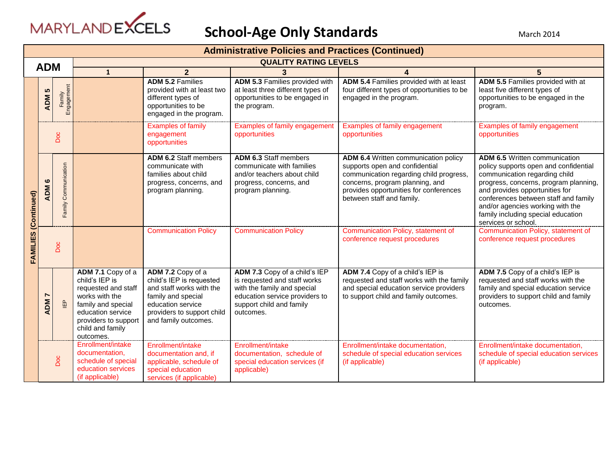

|                                | <b>Administrative Policies and Practices (Continued)</b> |                                   |                                                                                                                                                                                  |                                                                                                                                                                            |                                                                                                                                                                         |                                                                                                                                                                                                                             |                                                                                                                                                                                                                                                                                                                                    |  |  |
|--------------------------------|----------------------------------------------------------|-----------------------------------|----------------------------------------------------------------------------------------------------------------------------------------------------------------------------------|----------------------------------------------------------------------------------------------------------------------------------------------------------------------------|-------------------------------------------------------------------------------------------------------------------------------------------------------------------------|-----------------------------------------------------------------------------------------------------------------------------------------------------------------------------------------------------------------------------|------------------------------------------------------------------------------------------------------------------------------------------------------------------------------------------------------------------------------------------------------------------------------------------------------------------------------------|--|--|
| <b>ADM</b>                     |                                                          |                                   |                                                                                                                                                                                  |                                                                                                                                                                            | <b>QUALITY RATING LEVELS</b>                                                                                                                                            |                                                                                                                                                                                                                             |                                                                                                                                                                                                                                                                                                                                    |  |  |
|                                |                                                          |                                   | $\overline{2}$<br>$\mathbf{1}$                                                                                                                                                   |                                                                                                                                                                            | 3                                                                                                                                                                       |                                                                                                                                                                                                                             | 5                                                                                                                                                                                                                                                                                                                                  |  |  |
|                                | 5<br><b>ADM</b>                                          | Family<br>ngagement<br>шī         |                                                                                                                                                                                  | <b>ADM 5.2 Families</b><br>provided with at least two<br>different types of<br>opportunities to be<br>engaged in the program.                                              | ADM 5.3 Families provided with<br>at least three different types of<br>opportunities to be engaged in<br>the program.                                                   | ADM 5.4 Families provided with at least<br>four different types of opportunities to be<br>engaged in the program.                                                                                                           | ADM 5.5 Families provided with at<br>least five different types of<br>opportunities to be engaged in the<br>program.                                                                                                                                                                                                               |  |  |
|                                |                                                          | Doc                               |                                                                                                                                                                                  | <b>Examples of family</b><br>engagement<br>opportunities                                                                                                                   | Examples of family engagement<br>opportunities                                                                                                                          | Examples of family engagement<br>opportunities                                                                                                                                                                              | Examples of family engagement<br>opportunities                                                                                                                                                                                                                                                                                     |  |  |
| (Continued)<br><b>FAMILIES</b> | $\bullet$<br>ADM                                         | Family Communication              |                                                                                                                                                                                  | <b>ADM 6.2 Staff members</b><br>communicate with<br>families about child<br>progress, concerns, and<br>program planning.                                                   | <b>ADM 6.3 Staff members</b><br>communicate with families<br>and/or teachers about child<br>progress, concerns, and<br>program planning.                                | ADM 6.4 Written communication policy<br>supports open and confidential<br>communication regarding child progress,<br>concerns, program planning, and<br>provides opportunities for conferences<br>between staff and family. | <b>ADM 6.5 Written communication</b><br>policy supports open and confidential<br>communication regarding child<br>progress, concerns, program planning,<br>and provides opportunities for<br>conferences between staff and family<br>and/or agencies working with the<br>family including special education<br>services or school. |  |  |
|                                | Doc                                                      |                                   |                                                                                                                                                                                  | <b>Communication Policy</b>                                                                                                                                                | <b>Communication Policy</b>                                                                                                                                             | Communication Policy, statement of<br>conference request procedures                                                                                                                                                         | Communication Policy, statement of<br>conference request procedures                                                                                                                                                                                                                                                                |  |  |
|                                | <b>ADM</b>                                               | $\mathop{\mathbb{B}^{}}\nolimits$ | ADM 7.1 Copy of a<br>child's IEP is<br>requested and staff<br>works with the<br>family and special<br>education service<br>providers to support<br>child and family<br>outcomes. | ADM 7.2 Copy of a<br>child's IEP is requested<br>and staff works with the<br>family and special<br>education service<br>providers to support child<br>and family outcomes. | ADM 7.3 Copy of a child's IEP<br>is requested and staff works<br>with the family and special<br>education service providers to<br>support child and family<br>outcomes. | ADM 7.4 Copy of a child's IEP is<br>requested and staff works with the family<br>and special education service providers<br>to support child and family outcomes.                                                           | ADM 7.5 Copy of a child's IEP is<br>requested and staff works with the<br>family and special education service<br>providers to support child and family<br>outcomes.                                                                                                                                                               |  |  |
|                                |                                                          | Doc                               | Enrollment/intake<br>documentation,<br>schedule of special<br>education services<br>(if applicable)                                                                              | Enrollment/intake<br>documentation and, if<br>applicable, schedule of<br>special education<br>services (if applicable)                                                     | Enrollment/intake<br>documentation, schedule of<br>special education services (if<br>applicable)                                                                        | Enrollment/intake documentation,<br>schedule of special education services<br>(if applicable)                                                                                                                               | Enrollment/intake documentation,<br>schedule of special education services<br>(if applicable)                                                                                                                                                                                                                                      |  |  |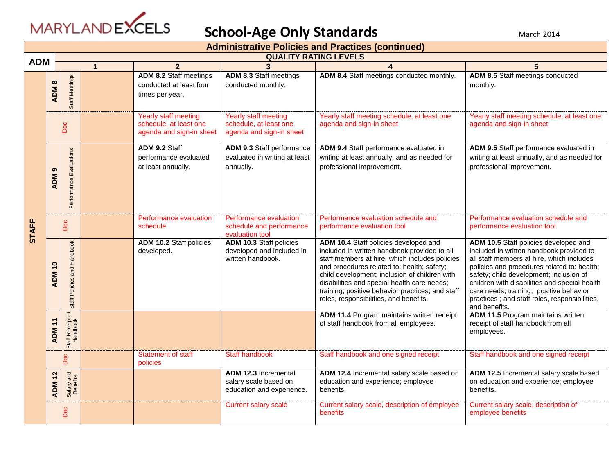

|              |                                                                          |              |                                                                                   |                                                                                   | <b>Administrative Policies and Practices (continued)</b>                                                                                                                                                                                                                                                                                                                            |                                                                                                                                                                                                                                                                                                                                                                                        |  |  |  |
|--------------|--------------------------------------------------------------------------|--------------|-----------------------------------------------------------------------------------|-----------------------------------------------------------------------------------|-------------------------------------------------------------------------------------------------------------------------------------------------------------------------------------------------------------------------------------------------------------------------------------------------------------------------------------------------------------------------------------|----------------------------------------------------------------------------------------------------------------------------------------------------------------------------------------------------------------------------------------------------------------------------------------------------------------------------------------------------------------------------------------|--|--|--|
| <b>ADM</b>   |                                                                          |              |                                                                                   | <b>QUALITY RATING LEVELS</b>                                                      |                                                                                                                                                                                                                                                                                                                                                                                     |                                                                                                                                                                                                                                                                                                                                                                                        |  |  |  |
|              |                                                                          | $\mathbf{1}$ | $\overline{2}$                                                                    | $\mathbf{3}$                                                                      | 4                                                                                                                                                                                                                                                                                                                                                                                   |                                                                                                                                                                                                                                                                                                                                                                                        |  |  |  |
|              | Staff Meetings<br>$\infty$<br>ADM                                        |              | <b>ADM 8.2 Staff meetings</b><br>conducted at least four<br>times per year.       | <b>ADM 8.3 Staff meetings</b><br>conducted monthly.                               | ADM 8.4 Staff meetings conducted monthly.                                                                                                                                                                                                                                                                                                                                           | ADM 8.5 Staff meetings conducted<br>monthly.                                                                                                                                                                                                                                                                                                                                           |  |  |  |
|              | Doc                                                                      |              | <b>Yearly staff meeting</b><br>schedule, at least one<br>agenda and sign-in sheet | <b>Yearly staff meeting</b><br>schedule, at least one<br>agenda and sign-in sheet | Yearly staff meeting schedule, at least one<br>agenda and sign-in sheet                                                                                                                                                                                                                                                                                                             | Yearly staff meeting schedule, at least one<br>agenda and sign-in sheet                                                                                                                                                                                                                                                                                                                |  |  |  |
|              | Performance Evaluations<br>၈<br><b>ADM</b>                               |              | ADM 9.2 Staff<br>performance evaluated<br>at least annually.                      | ADM 9.3 Staff performance<br>evaluated in writing at least<br>annually.           | ADM 9.4 Staff performance evaluated in<br>writing at least annually, and as needed for<br>professional improvement.                                                                                                                                                                                                                                                                 | ADM 9.5 Staff performance evaluated in<br>writing at least annually, and as needed for<br>professional improvement.                                                                                                                                                                                                                                                                    |  |  |  |
| <b>STAFF</b> | Doc                                                                      |              | Performance evaluation<br>schedule                                                | Performance evaluation<br>schedule and performance<br>evaluation tool             | Performance evaluation schedule and<br>performance evaluation tool                                                                                                                                                                                                                                                                                                                  | Performance evaluation schedule and<br>performance evaluation tool                                                                                                                                                                                                                                                                                                                     |  |  |  |
|              | Policies and Handbook<br>$\overline{\phantom{0}}$<br><b>ADM</b><br>Staff |              | <b>ADM 10.2 Staff policies</b><br>developed.                                      | ADM 10.3 Staff policies<br>developed and included in<br>written handbook.         | ADM 10.4 Staff policies developed and<br>included in written handbook provided to all<br>staff members at hire, which includes policies<br>and procedures related to: health; safety;<br>child development; inclusion of children with<br>disabilities and special health care needs;<br>training; positive behavior practices; and staff<br>roles, responsibilities, and benefits. | ADM 10.5 Staff policies developed and<br>included in written handbook provided to<br>all staff members at hire, which includes<br>policies and procedures related to: health;<br>safety; child development; inclusion of<br>children with disabilities and special health<br>care needs; training; positive behavior<br>practices; and staff roles, responsibilities,<br>and benefits. |  |  |  |
|              | đ<br>Staff Receipt of<br>$\div$<br><b>ADM</b>                            |              |                                                                                   |                                                                                   | ADM 11.4 Program maintains written receipt<br>of staff handbook from all employees.                                                                                                                                                                                                                                                                                                 | <b>ADM 11.5 Program maintains written</b><br>receipt of staff handbook from all<br>employees.                                                                                                                                                                                                                                                                                          |  |  |  |
|              | Doc                                                                      |              | <b>Statement of staff</b><br>policies                                             | Staff handbook                                                                    | Staff handbook and one signed receipt                                                                                                                                                                                                                                                                                                                                               | Staff handbook and one signed receipt                                                                                                                                                                                                                                                                                                                                                  |  |  |  |
|              | Salary and<br>Benefits<br><b>ADM 12</b>                                  |              |                                                                                   | <b>ADM 12.3 Incremental</b><br>salary scale based on<br>education and experience. | ADM 12.4 Incremental salary scale based on<br>education and experience; employee<br>benefits.                                                                                                                                                                                                                                                                                       | ADM 12.5 Incremental salary scale based<br>on education and experience; employee<br>benefits.                                                                                                                                                                                                                                                                                          |  |  |  |
|              | Doc                                                                      |              |                                                                                   | <b>Current salary scale</b>                                                       | Current salary scale, description of employee<br>benefits                                                                                                                                                                                                                                                                                                                           | Current salary scale, description of<br>employee benefits                                                                                                                                                                                                                                                                                                                              |  |  |  |